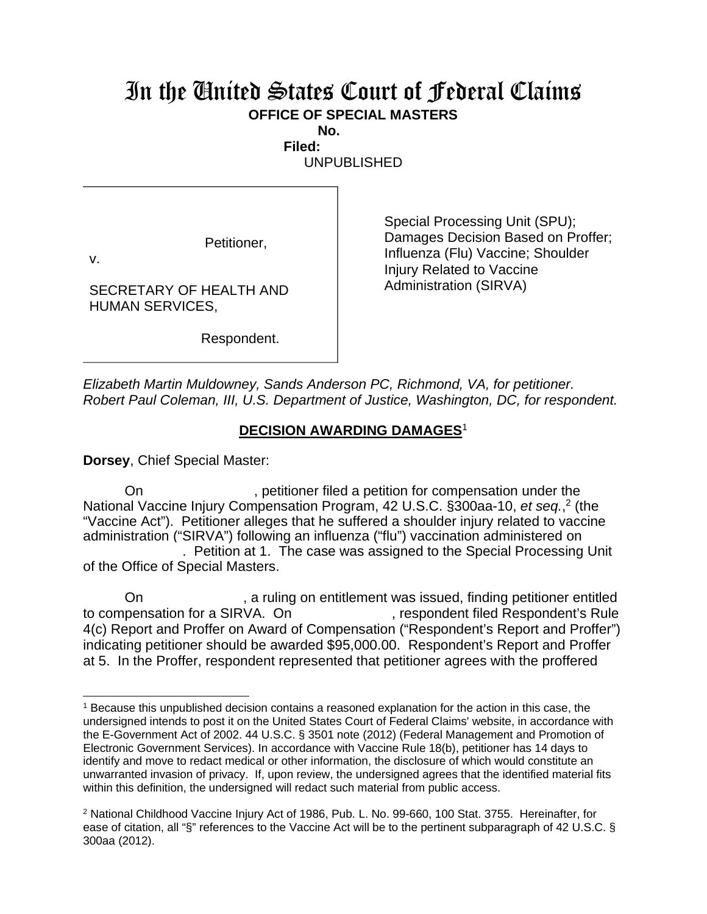## In the United States Court of Federal Claims **OFFICE OF SPECIAL MASTERS**

**No.** 

 **Filed:**  UNPUBLISHED

Petitioner,

v.

SECRETARY OF HEALTH AND HUMAN SERVICES,

Respondent.

Special Processing Unit (SPU); Damages Decision Based on Proffer; Influenza (Flu) Vaccine; Shoulder Injury Related to Vaccine Administration (SIRVA)

*Elizabeth Martin Muldowney, Sands Anderson PC, Richmond, VA, for petitioner. Robert Paul Coleman, III, U.S. Department of Justice, Washington, DC, for respondent.* 

## **DECISION AWARDING DAMAGES**<sup>1</sup>

**Dorsey**, Chief Special Master:

On example interface petitioner filed a petition for compensation under the National Vaccine Injury Compensation Program, 42 U.S.C. §300aa-10, et seq.,<sup>2</sup> (the "Vaccine Act"). Petitioner alleges that he suffered a shoulder injury related to vaccine administration ("SIRVA") following an influenza ("flu") vaccination administered on . Petition at 1. The case was assigned to the Special Processing Unit of the Office of Special Masters.

On **State of the set of the set of the set of the set of the set of the set of the set of the set of the set of the set of the set of the set of the set of the set of the set of the set of the set of the set of the set of** to compensation for a SIRVA. On the subset of the secondent filed Respondent's Rule 4(c) Report and Proffer on Award of Compensation ("Respondent's Report and Proffer") indicating petitioner should be awarded \$95,000.00. Respondent's Report and Proffer at 5. In the Proffer, respondent represented that petitioner agrees with the proffered

<sup>&</sup>lt;sup>1</sup> Because this unpublished decision contains a reasoned explanation for the action in this case, the undersigned intends to post it on the United States Court of Federal Claims' website, in accordance with the E-Government Act of 2002. 44 U.S.C. § 3501 note (2012) (Federal Management and Promotion of Electronic Government Services). In accordance with Vaccine Rule 18(b), petitioner has 14 days to identify and move to redact medical or other information, the disclosure of which would constitute an unwarranted invasion of privacy. If, upon review, the undersigned agrees that the identified material fits within this definition, the undersigned will redact such material from public access.

<sup>&</sup>lt;sup>2</sup> National Childhood Vaccine Injury Act of 1986, Pub. L. No. 99-660, 100 Stat. 3755. Hereinafter, for ease of citation, all "§" references to the Vaccine Act will be to the pertinent subparagraph of 42 U.S.C. § 300aa (2012).